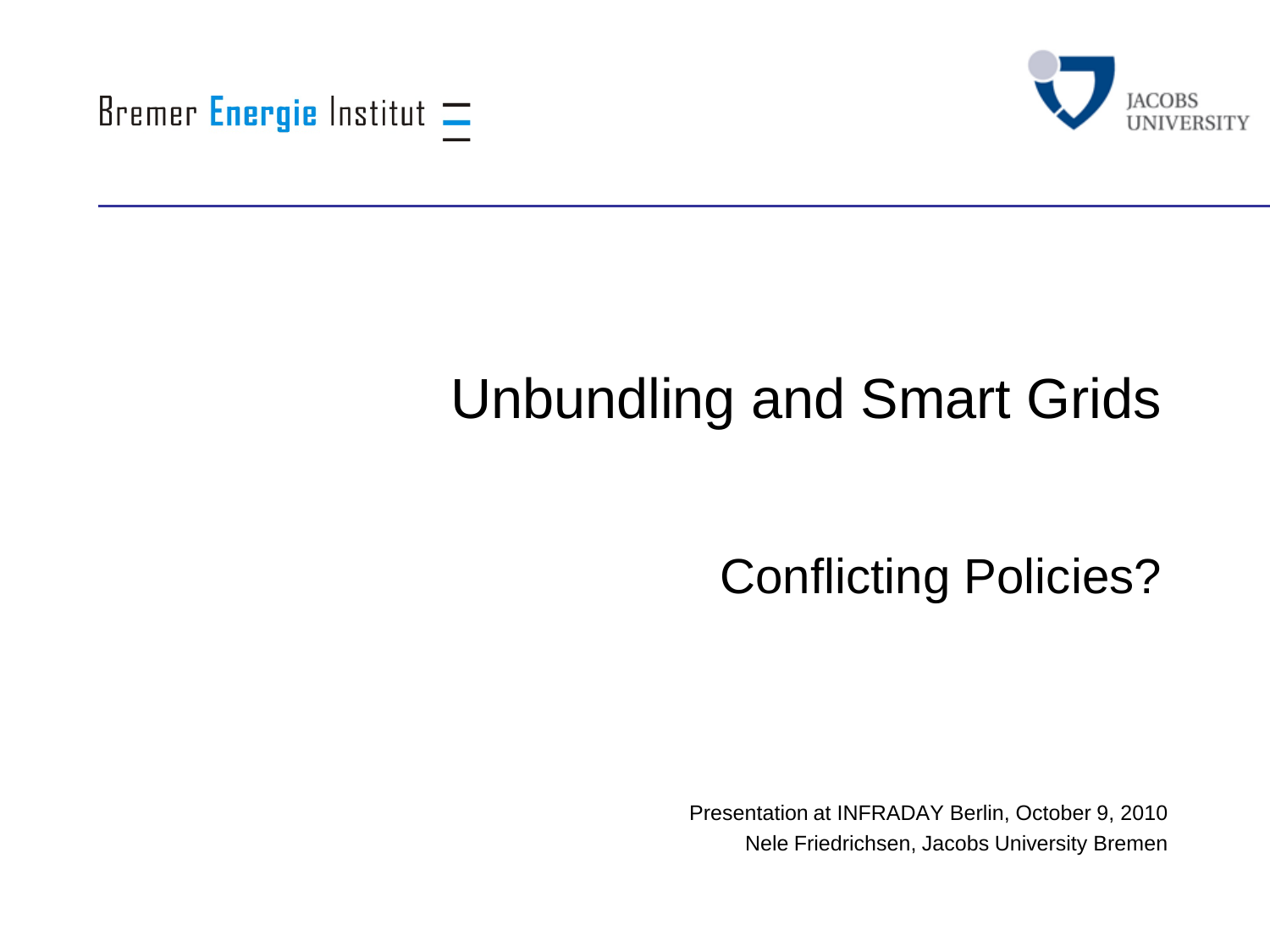



# Unbundling and Smart Grids

Conflicting Policies?

Presentation at INFRADAY Berlin, October 9, 2010 Nele Friedrichsen, Jacobs University Bremen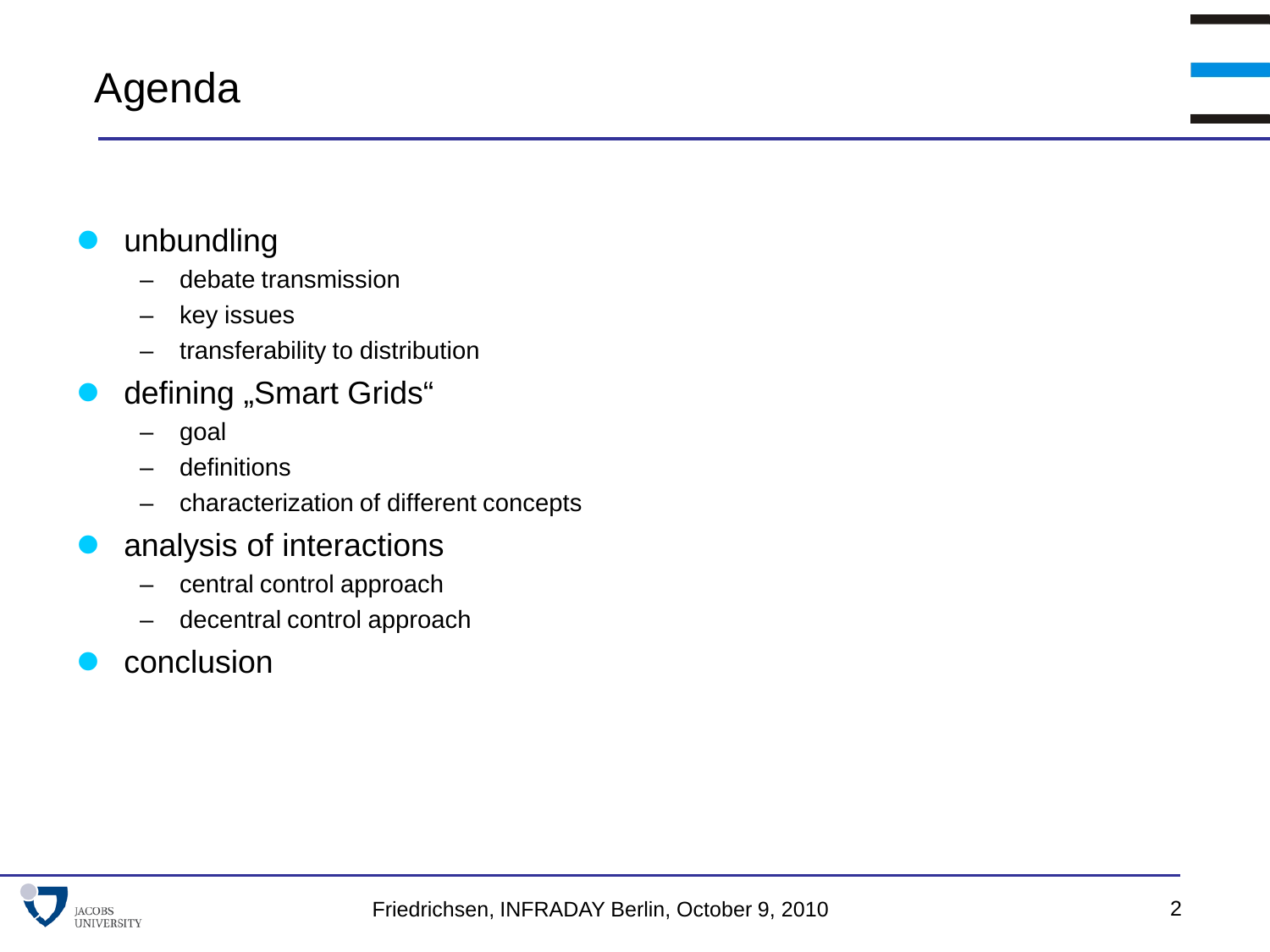#### Agenda

#### unbundling

- debate transmission
- key issues
- transferability to distribution
- defining "Smart Grids"
	- goal
	- definitions
	- characterization of different concepts
- analysis of interactions
	- central control approach
	- decentral control approach
- conclusion

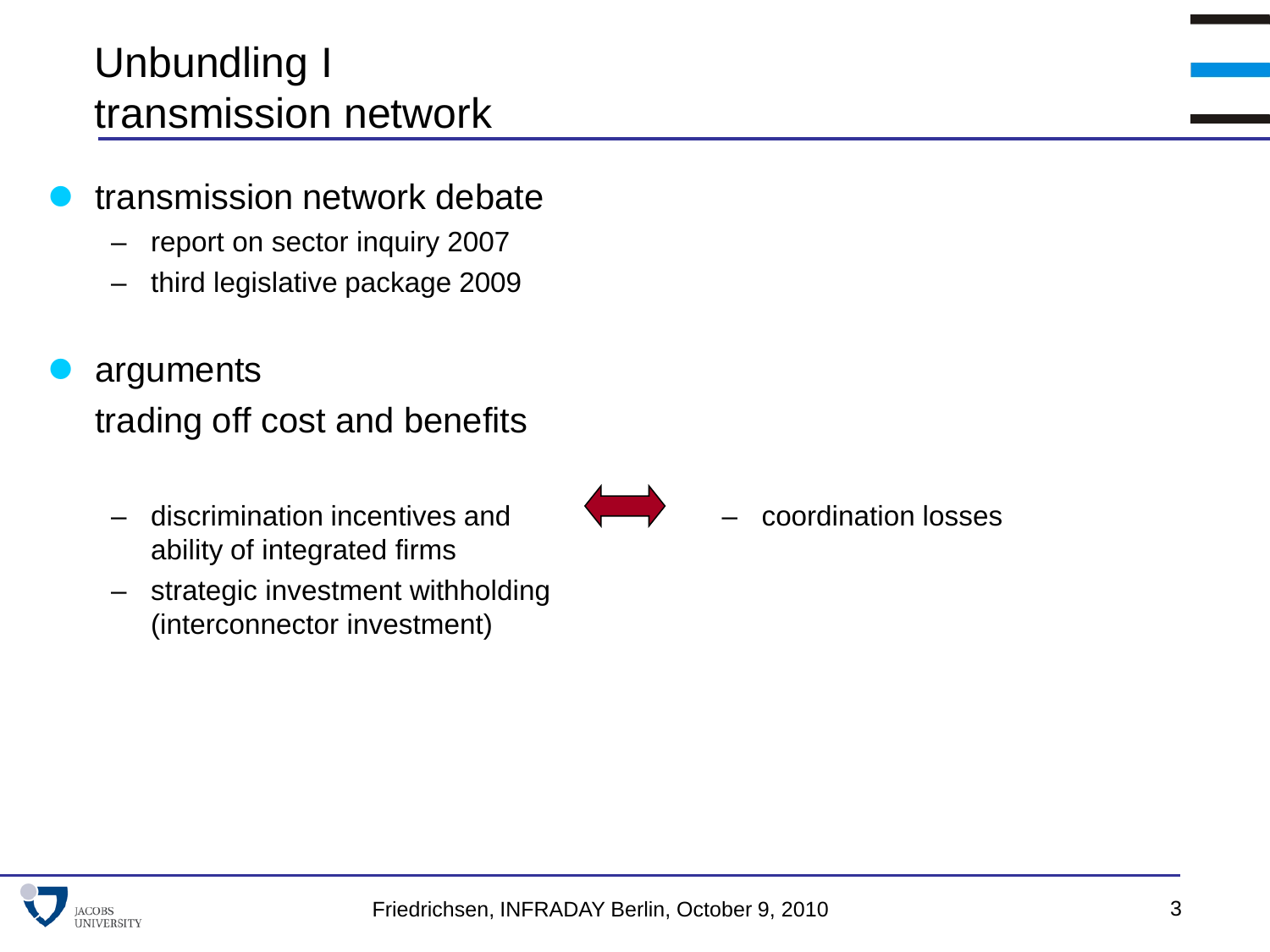### Unbundling I transmission network

- transmission network debate
	- report on sector inquiry 2007
	- third legislative package 2009
- arguments trading off cost and benefits
	- discrimination incentives and ability of integrated firms
	- strategic investment withholding (interconnector investment)

– coordination losses

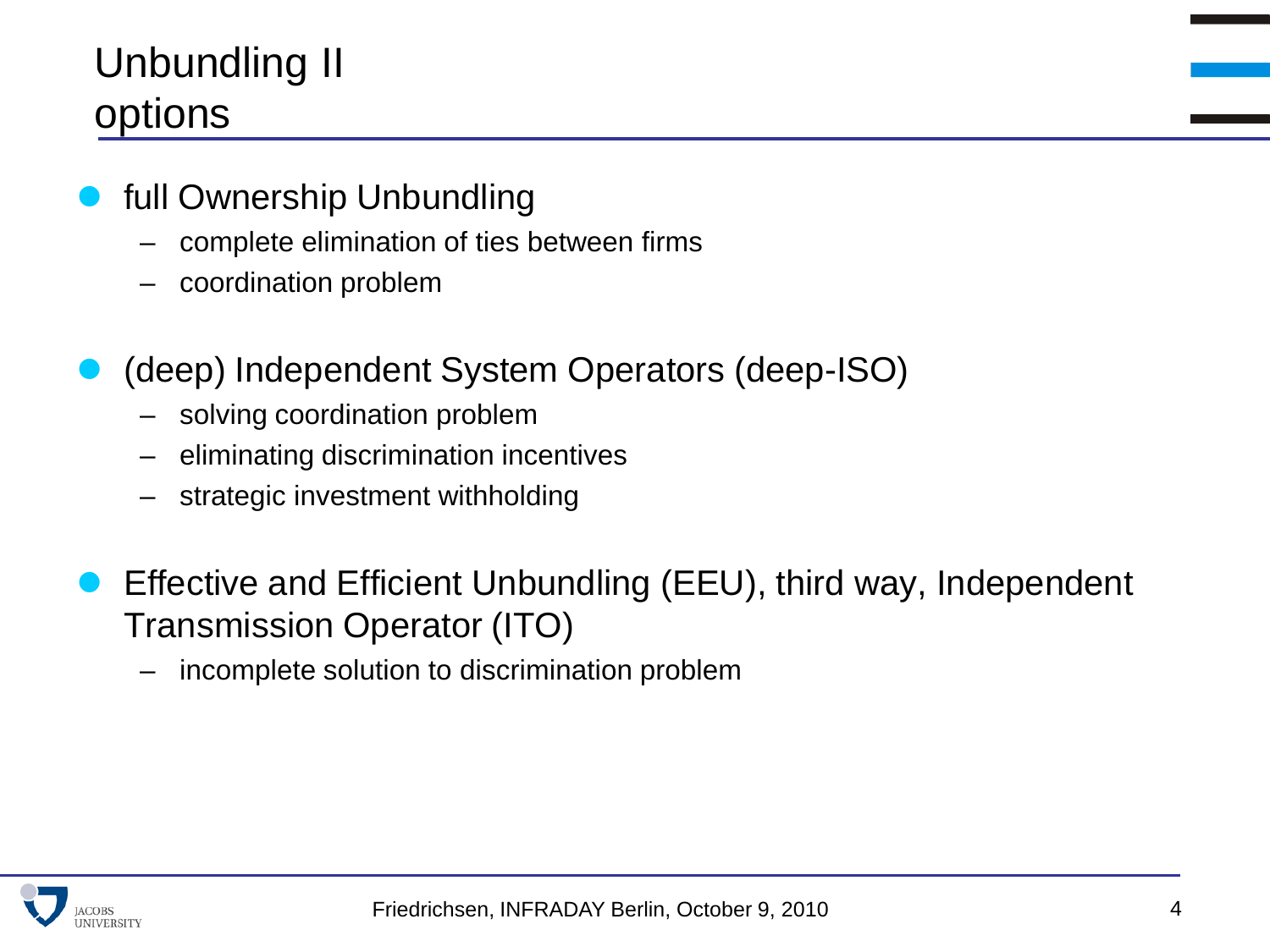# Unbundling II options

- full Ownership Unbundling
	- complete elimination of ties between firms
	- coordination problem
- (deep) Independent System Operators (deep-ISO)
	- solving coordination problem
	- eliminating discrimination incentives
	- strategic investment withholding
- Effective and Efficient Unbundling (EEU), third way, Independent Transmission Operator (ITO)
	- incomplete solution to discrimination problem

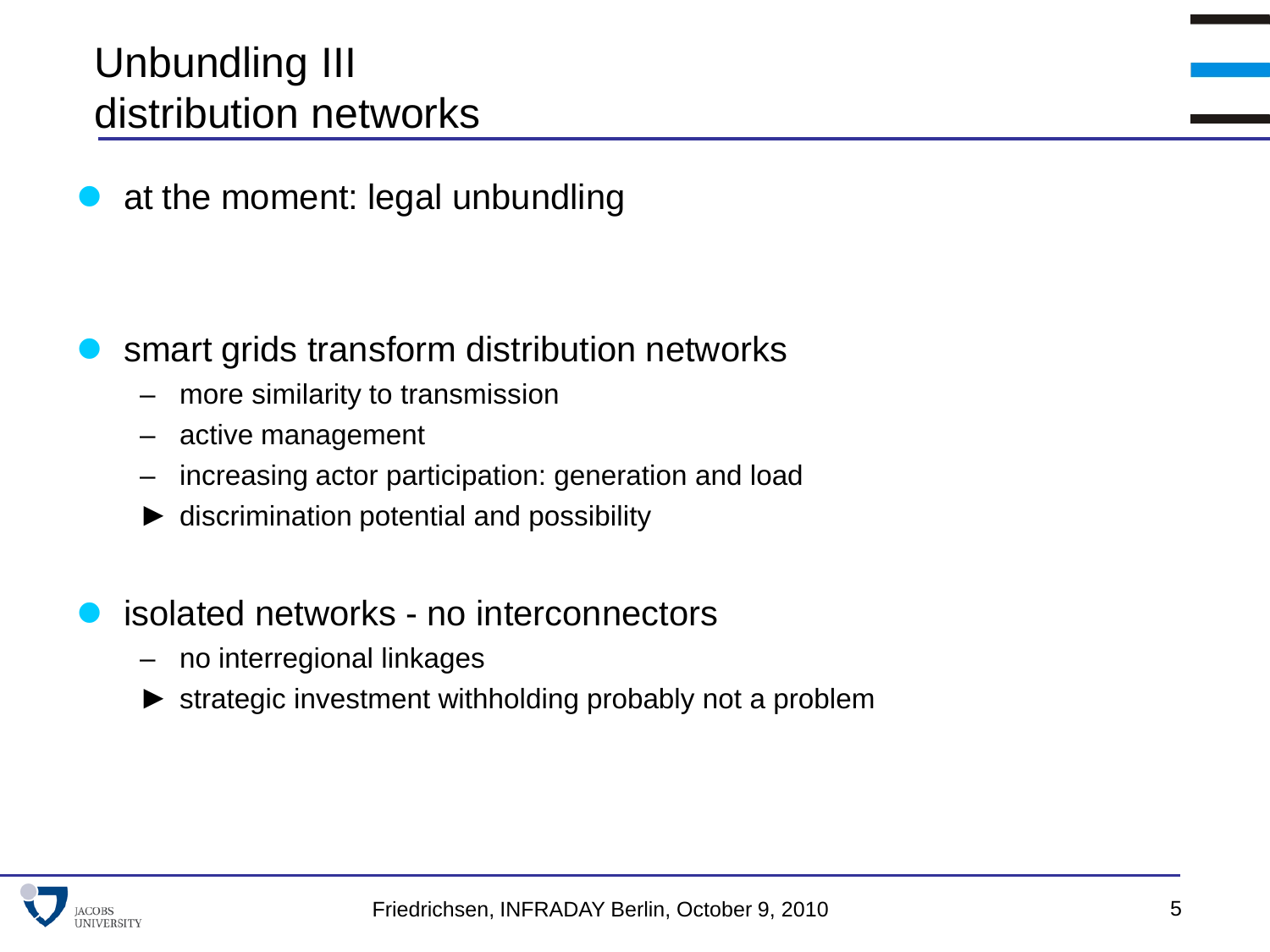### Unbundling III distribution networks

at the moment: legal unbundling

- smart grids transform distribution networks
	- more similarity to transmission
	- active management
	- increasing actor participation: generation and load
	- $\blacktriangleright$  discrimination potential and possibility
- isolated networks no interconnectors
	- no interregional linkages
	- strategic investment withholding probably not a problem

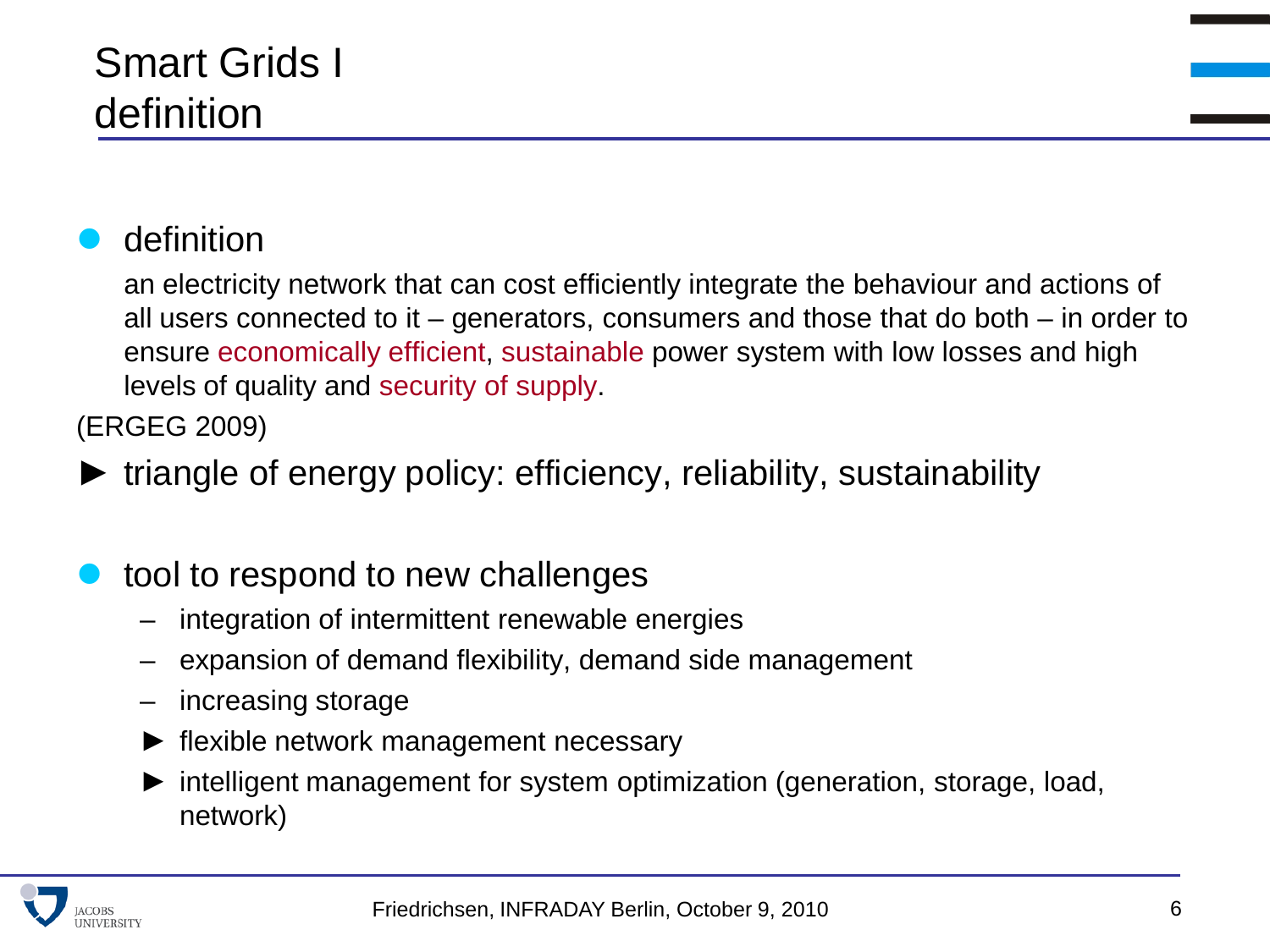#### definition

an electricity network that can cost efficiently integrate the behaviour and actions of all users connected to it – generators, consumers and those that do both – in order to ensure economically efficient, sustainable power system with low losses and high levels of quality and security of supply.

(ERGEG 2009)

► triangle of energy policy: efficiency, reliability, sustainability

#### tool to respond to new challenges

- integration of intermittent renewable energies
- expansion of demand flexibility, demand side management
- increasing storage
- flexible network management necessary
- intelligent management for system optimization (generation, storage, load, network)

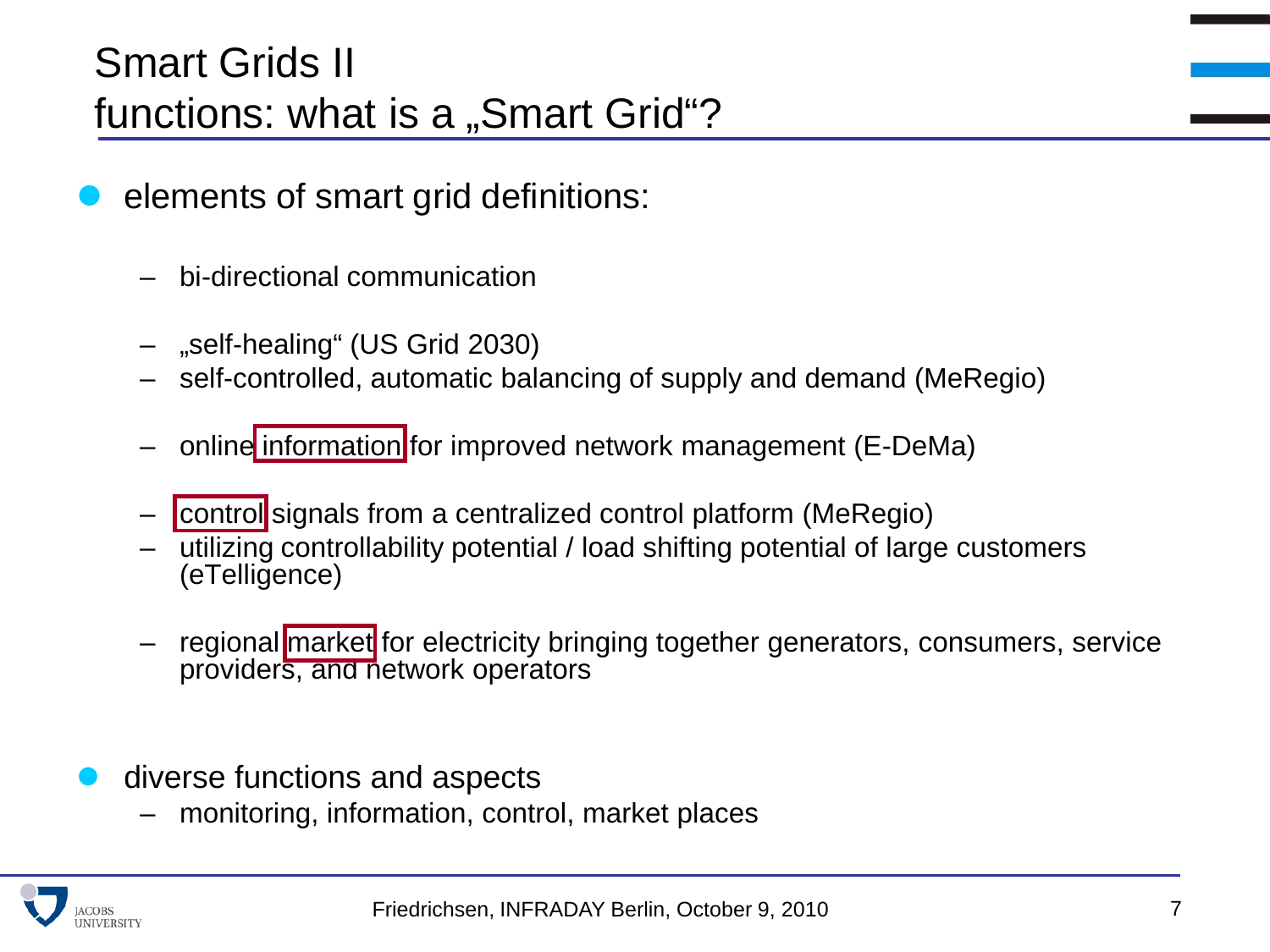- elements of smart grid definitions:
	- bi-directional communication
	- "self-healing" (US Grid 2030)
	- self-controlled, automatic balancing of supply and demand (MeRegio)
	- online information for improved network management (E-DeMa)
	- control signals from a centralized control platform (MeRegio)
	- utilizing controllability potential / load shifting potential of large customers (eTelligence)
	- regional market for electricity bringing together generators, consumers, service providers, and network operators
- diverse functions and aspects
	- monitoring, information, control, market places

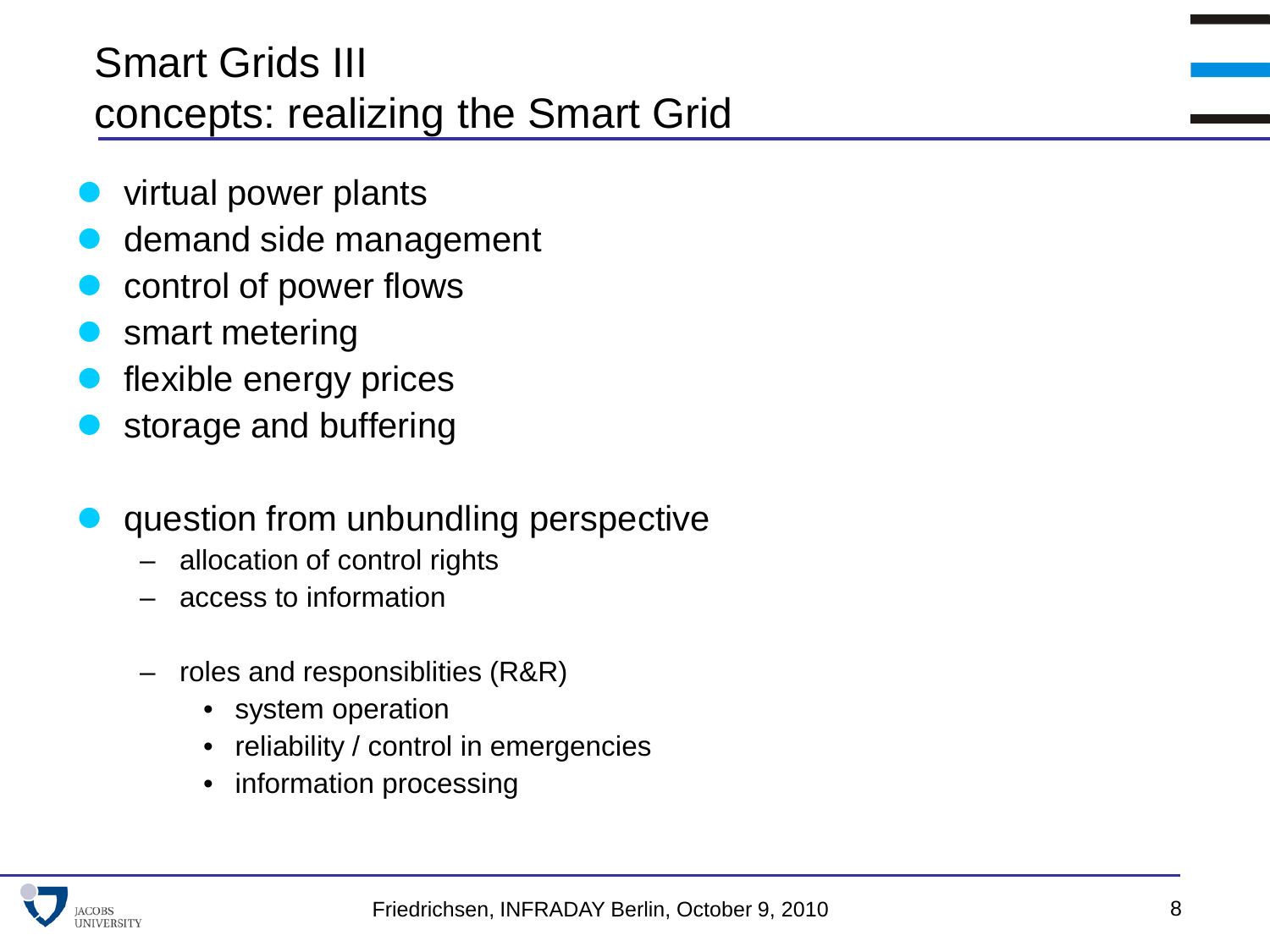# Smart Grids III concepts: realizing the Smart Grid

- virtual power plants
- demand side management
- control of power flows
- smart metering
- flexible energy prices
- storage and buffering
- question from unbundling perspective
	- allocation of control rights
	- access to information
	- roles and responsiblities (R&R)
		- system operation
		- reliability / control in emergencies
		- information processing

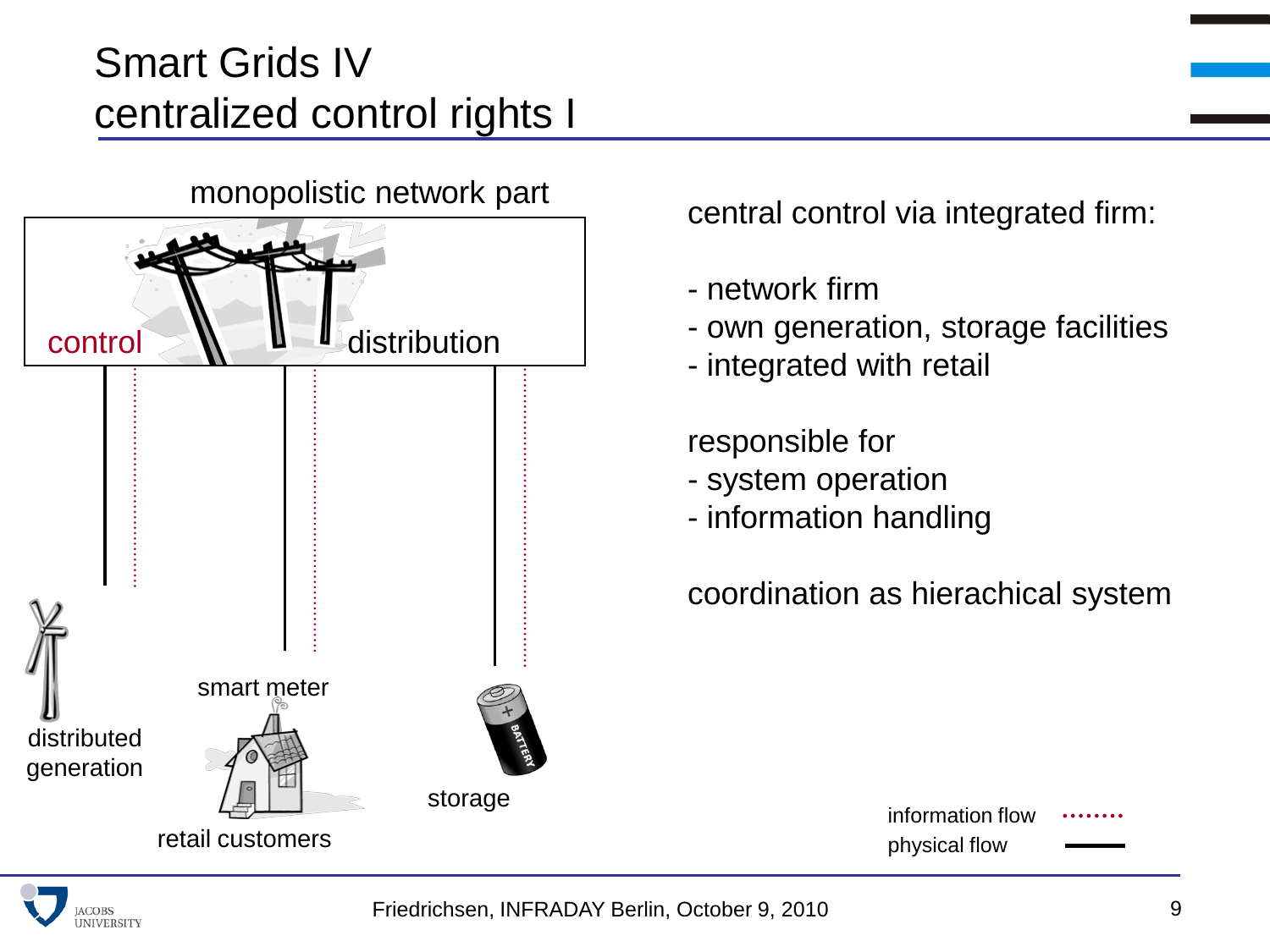# Smart Grids IV centralized control rights I



central control via integrated firm:

- network firm
- own generation, storage facilities
- integrated with retail

#### responsible for

- system operation
- information handling

coordination as hierachical system

| information flow |  |
|------------------|--|
| physical flow    |  |

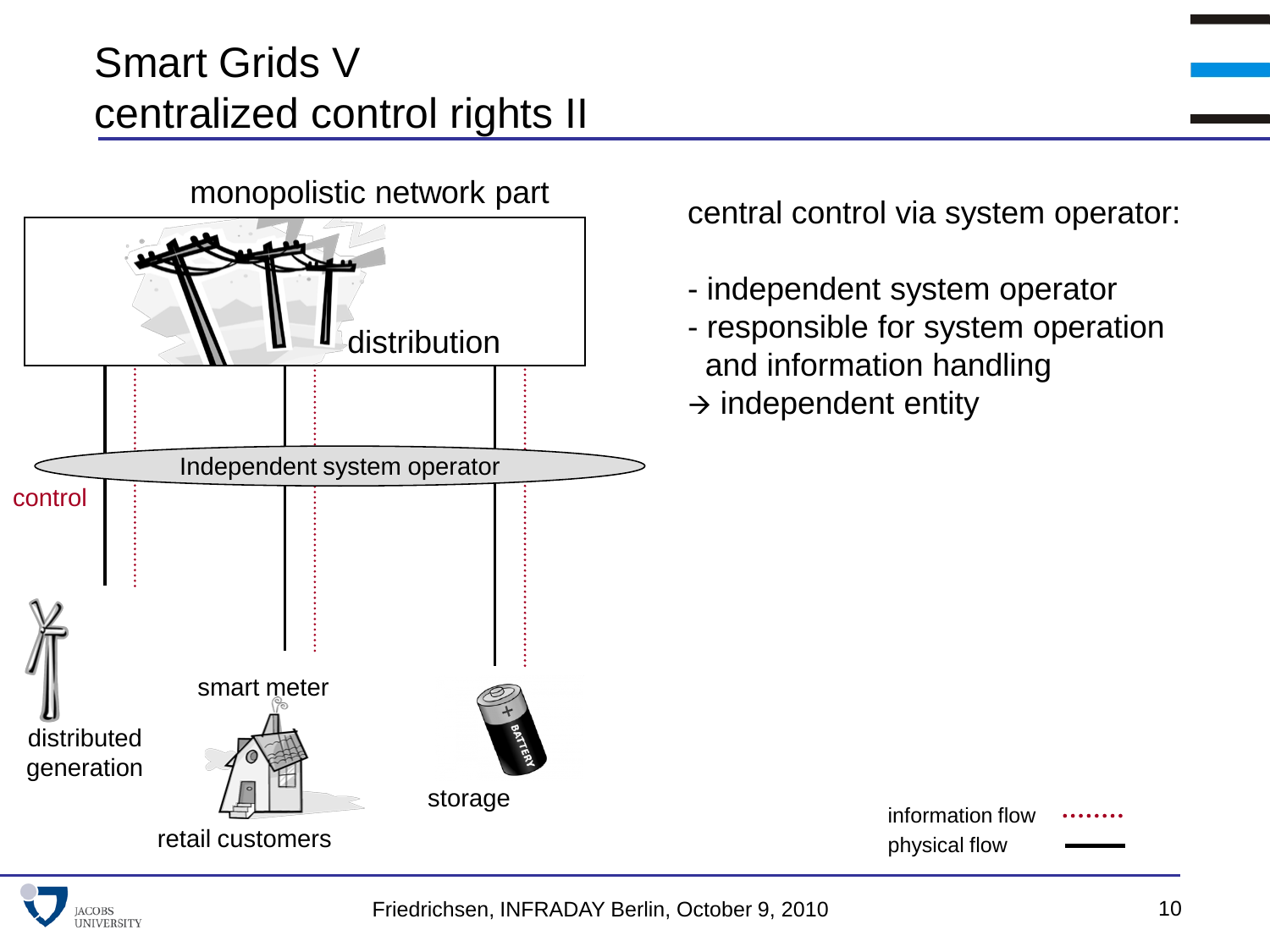# Smart Grids V centralized control rights II



central control via system operator:

- independent system operator
- responsible for system operation and information handling

physical flow

information flow

 $\rightarrow$  independent entity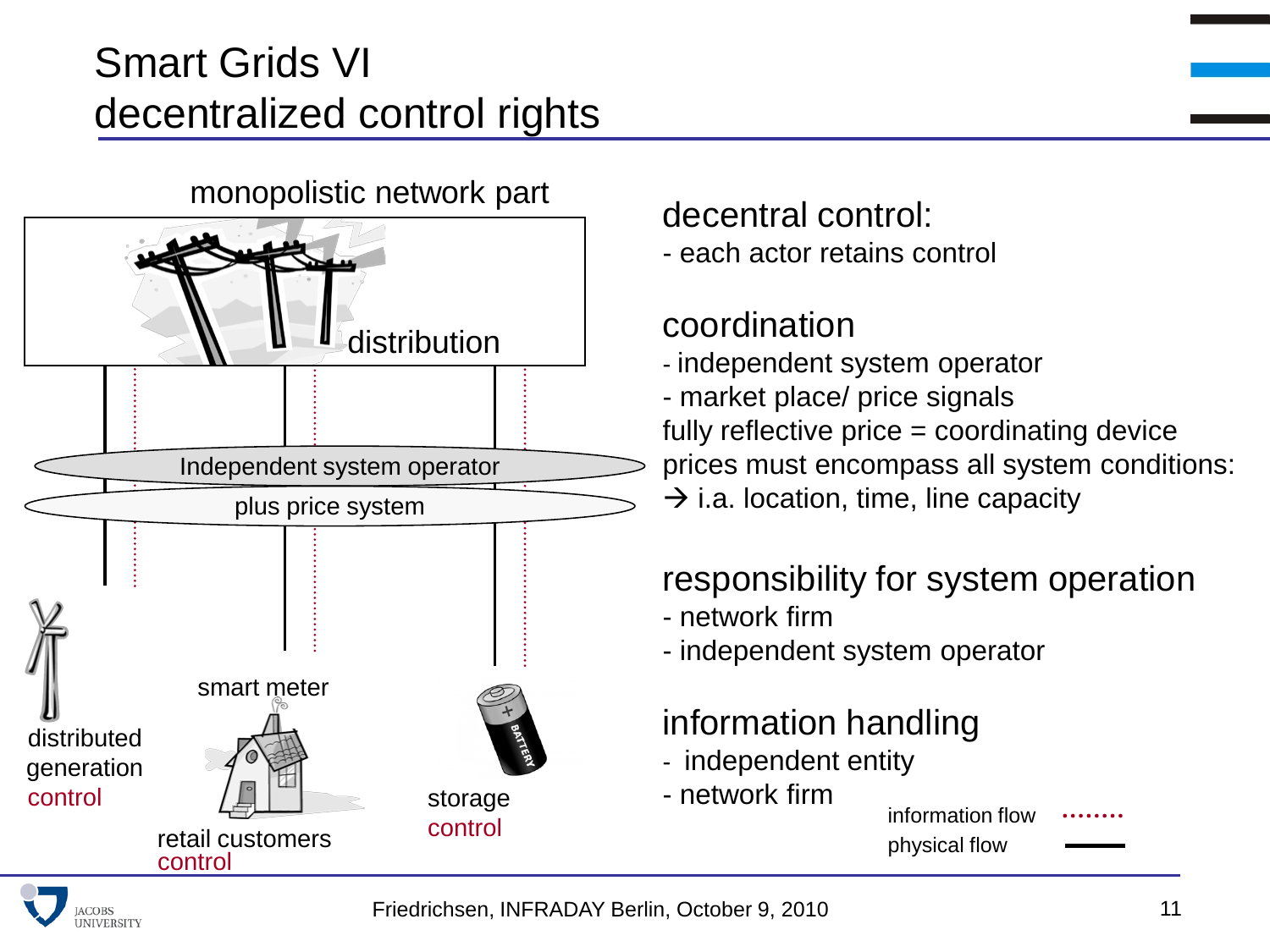# Smart Grids VI decentralized control rights



#### decentral control:

- each actor retains control

#### coordination

- independent system operator
- market place/ price signals fully reflective price = coordinating device prices must encompass all system conditions:  $\rightarrow$  i.a. location, time, line capacity

#### responsibility for system operation

- network firm
- independent system operator

#### information handling

- independent entity
- network firm

#### physical flow information flow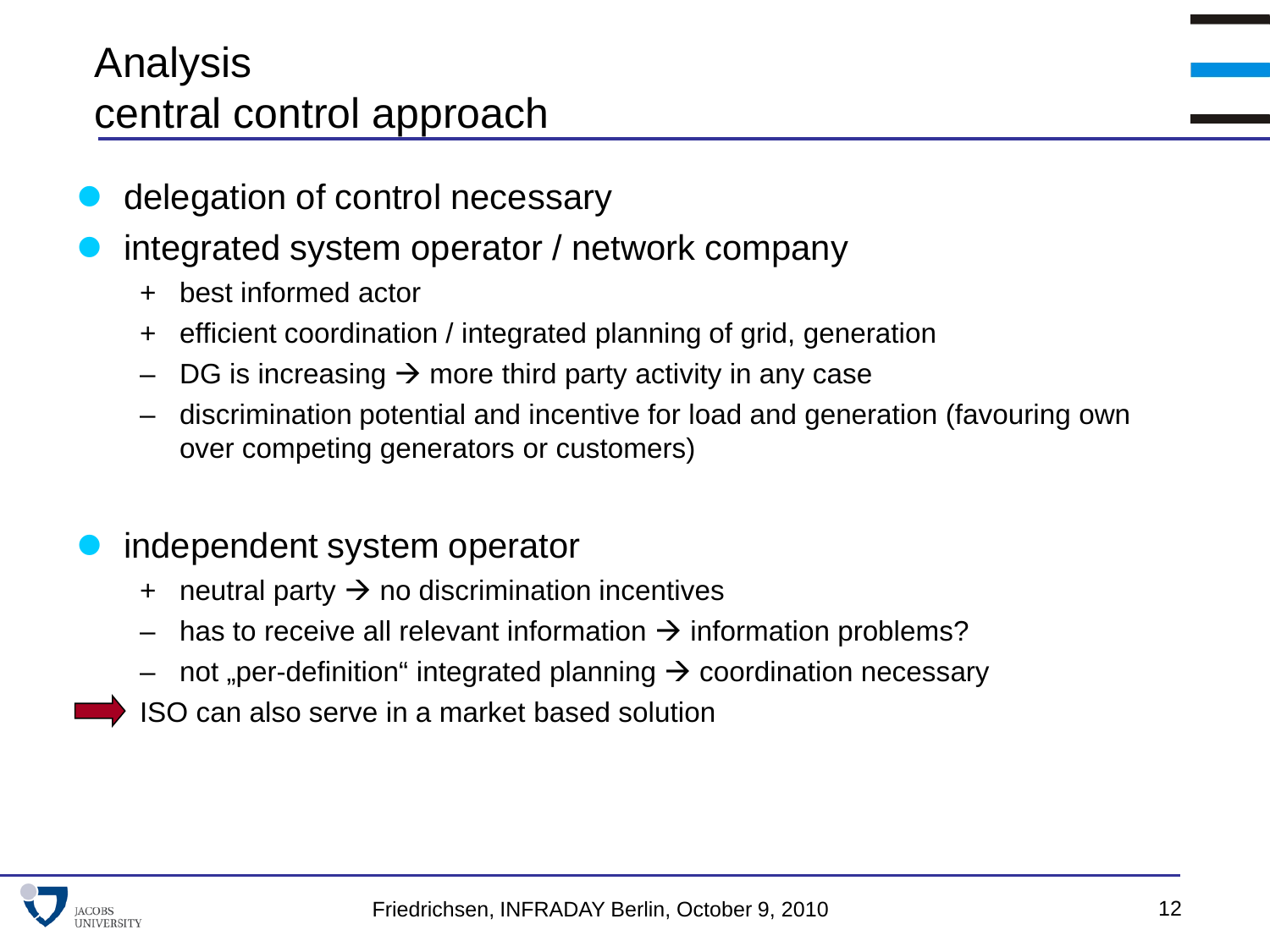### Analysis central control approach

- delegation of control necessary
- integrated system operator / network company
	- + best informed actor
	- + efficient coordination / integrated planning of grid, generation
	- DG is increasing  $\rightarrow$  more third party activity in any case
	- discrimination potential and incentive for load and generation (favouring own over competing generators or customers)

#### independent system operator

- + neutral party  $\rightarrow$  no discrimination incentives
- has to receive all relevant information  $\rightarrow$  information problems?
- not "per-definition" integrated planning  $\rightarrow$  coordination necessary
- ISO can also serve in a market based solution

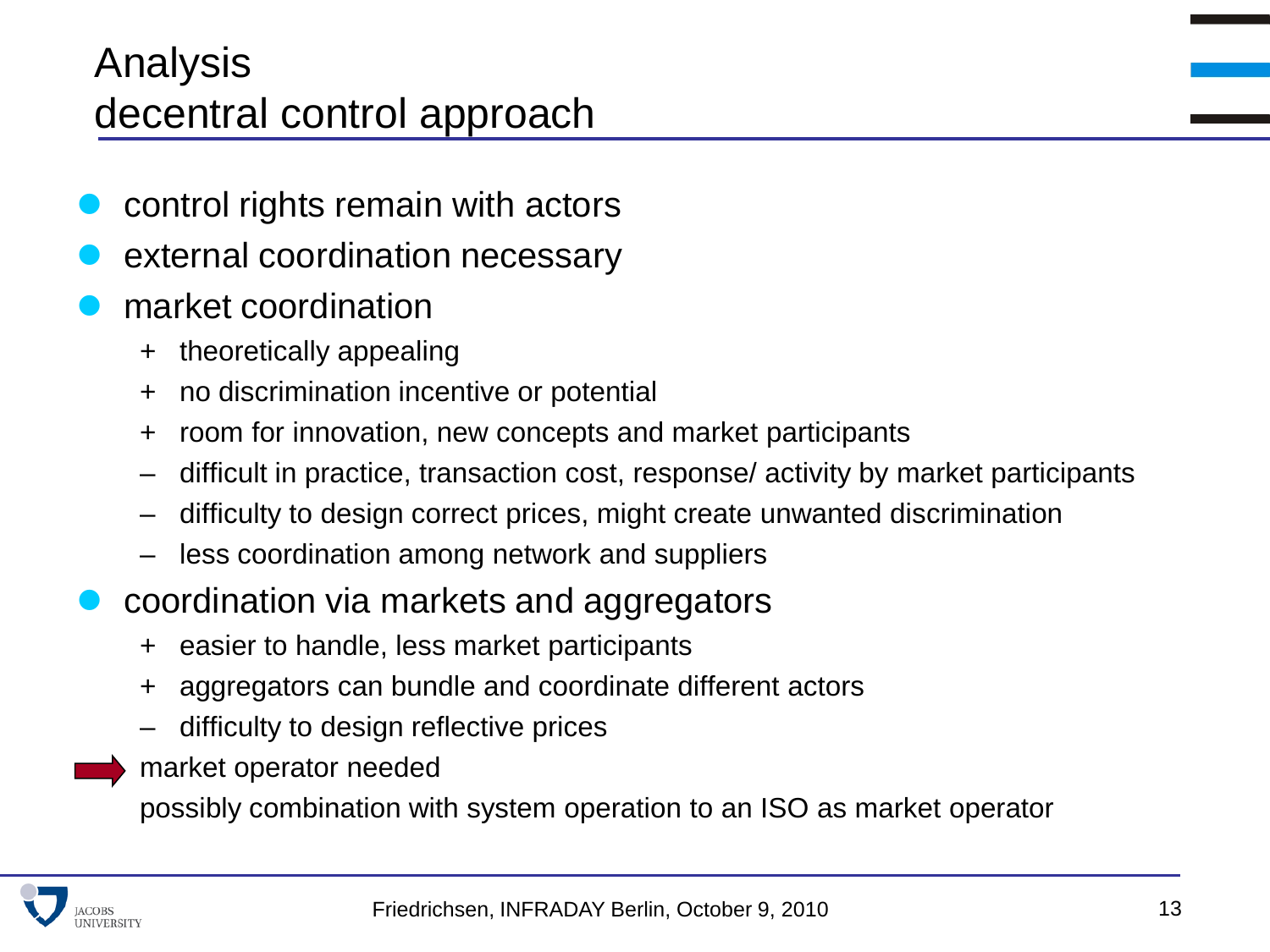## Analysis decentral control approach

- control rights remain with actors
- external coordination necessary
- market coordination
	- + theoretically appealing
	- + no discrimination incentive or potential
	- + room for innovation, new concepts and market participants
	- difficult in practice, transaction cost, response/ activity by market participants
	- difficulty to design correct prices, might create unwanted discrimination
	- less coordination among network and suppliers
- coordination via markets and aggregators
	- + easier to handle, less market participants
	- + aggregators can bundle and coordinate different actors
	- difficulty to design reflective prices
	- market operator needed

possibly combination with system operation to an ISO as market operator

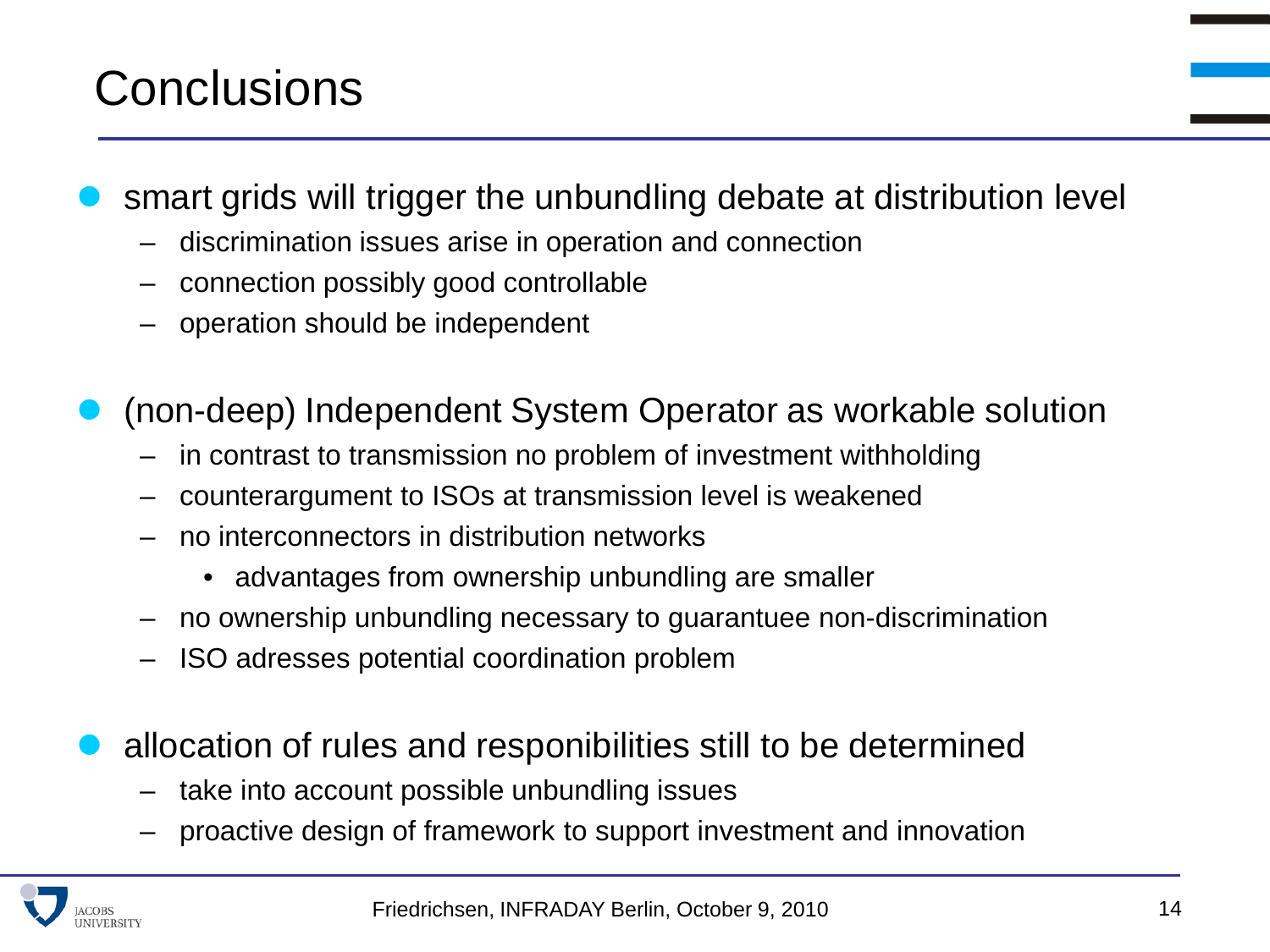# **Conclusions**

smart grids will trigger the unbundling debate at distribution level

- discrimination issues arise in operation and connection
- connection possibly good controllable
- operation should be independent
- (non-deep) Independent System Operator as workable solution
	- in contrast to transmission no problem of investment withholding
	- counterargument to ISOs at transmission level is weakened
	- no interconnectors in distribution networks
		- advantages from ownership unbundling are smaller
	- no ownership unbundling necessary to guarantuee non-discrimination
	- ISO adresses potential coordination problem
- allocation of rules and responibilities still to be determined
	- take into account possible unbundling issues
	- proactive design of framework to support investment and innovation